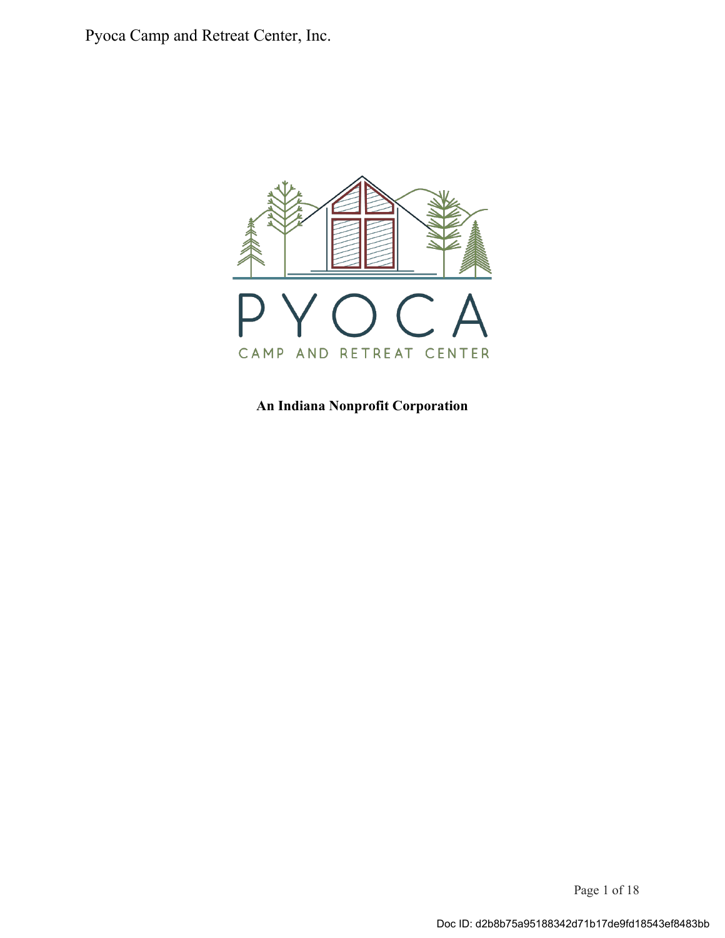

**An Indiana Nonprofit Corporation** 

Page 1 of 18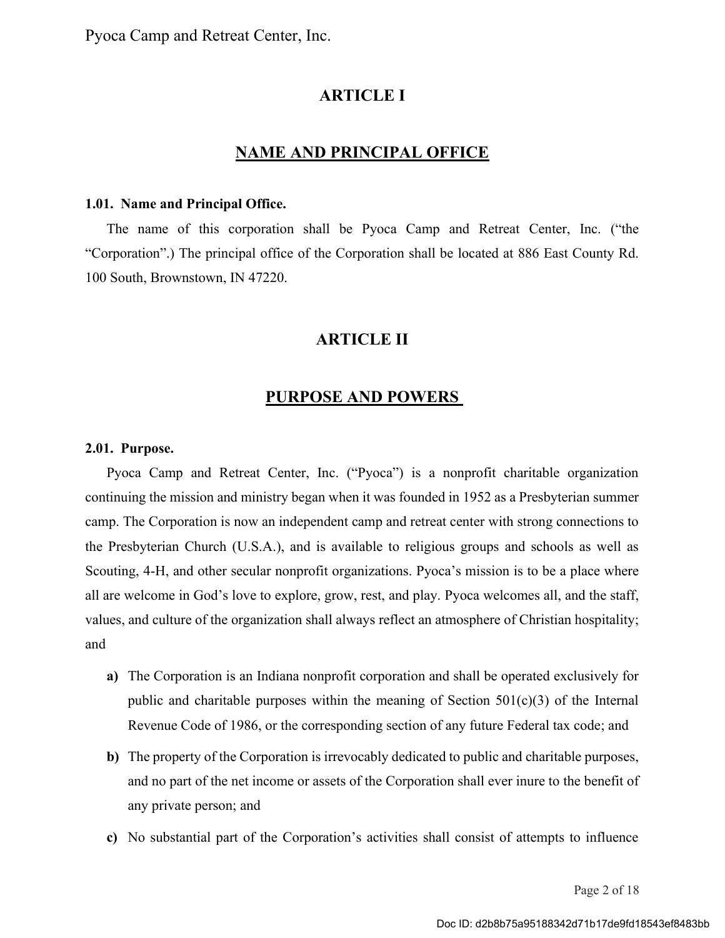## **ARTICLE I**

# **NAME AND PRINCIPAL OFFICE**

#### **1.01. Name and Principal Office.**

The name of this corporation shall be Pyoca Camp and Retreat Center, Inc. ("the "Corporation".) The principal office of the Corporation shall be located at 886 East County Rd. 100 South, Brownstown, IN 47220.

## **ARTICLE II**

## **PURPOSE AND POWERS**

#### **2.01. Purpose.**

Pyoca Camp and Retreat Center, Inc. ("Pyoca") is a nonprofit charitable organization continuing the mission and ministry began when it was founded in 1952 as a Presbyterian summer camp. The Corporation is now an independent camp and retreat center with strong connections to the Presbyterian Church (U.S.A.), and is available to religious groups and schools as well as Scouting, 4-H, and other secular nonprofit organizations. Pyoca's mission is to be a place where all are welcome in God's love to explore, grow, rest, and play. Pyoca welcomes all, and the staff, values, and culture of the organization shall always reflect an atmosphere of Christian hospitality; and

- **a)** The Corporation is an Indiana nonprofit corporation and shall be operated exclusively for public and charitable purposes within the meaning of Section  $501(c)(3)$  of the Internal Revenue Code of 1986, or the corresponding section of any future Federal tax code; and
- **b)** The property of the Corporation is irrevocably dedicated to public and charitable purposes, and no part of the net income or assets of the Corporation shall ever inure to the benefit of any private person; and
- **c)** No substantial part of the Corporation's activities shall consist of attempts to influence

Page 2 of 18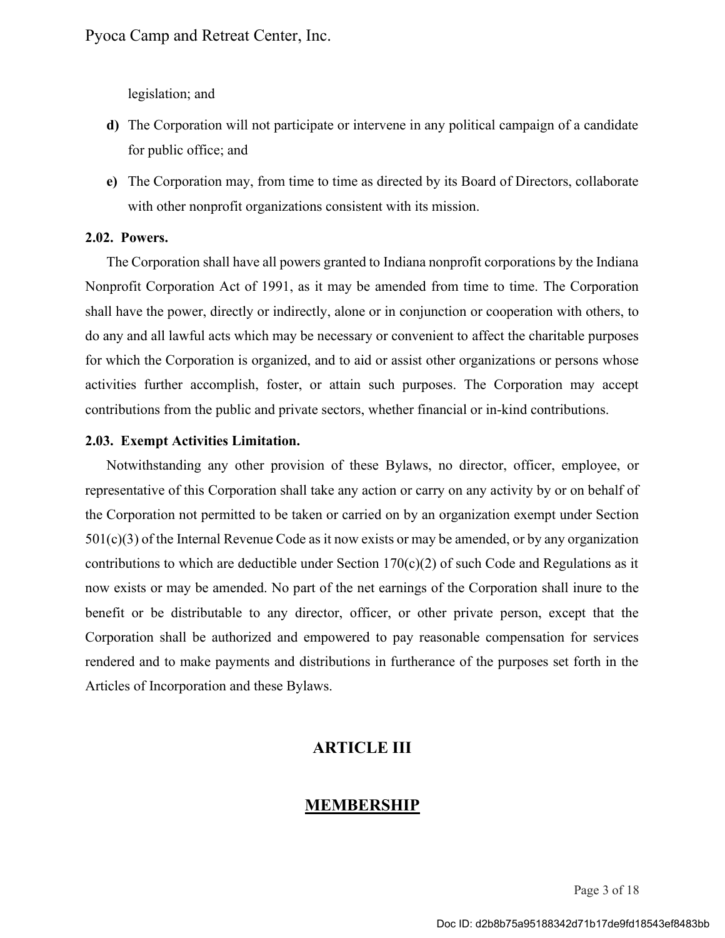legislation; and

- **d)** The Corporation will not participate or intervene in any political campaign of a candidate for public office; and
- **e)** The Corporation may, from time to time as directed by its Board of Directors, collaborate with other nonprofit organizations consistent with its mission.

#### **2.02. Powers.**

The Corporation shall have all powers granted to Indiana nonprofit corporations by the Indiana Nonprofit Corporation Act of 1991, as it may be amended from time to time. The Corporation shall have the power, directly or indirectly, alone or in conjunction or cooperation with others, to do any and all lawful acts which may be necessary or convenient to affect the charitable purposes for which the Corporation is organized, and to aid or assist other organizations or persons whose activities further accomplish, foster, or attain such purposes. The Corporation may accept contributions from the public and private sectors, whether financial or in-kind contributions.

#### **2.03. Exempt Activities Limitation.**

Notwithstanding any other provision of these Bylaws, no director, officer, employee, or representative of this Corporation shall take any action or carry on any activity by or on behalf of the Corporation not permitted to be taken or carried on by an organization exempt under Section 501(c)(3) of the Internal Revenue Code as it now exists or may be amended, or by any organization contributions to which are deductible under Section  $170(c)(2)$  of such Code and Regulations as it now exists or may be amended. No part of the net earnings of the Corporation shall inure to the benefit or be distributable to any director, officer, or other private person, except that the Corporation shall be authorized and empowered to pay reasonable compensation for services rendered and to make payments and distributions in furtherance of the purposes set forth in the Articles of Incorporation and these Bylaws.

# **ARTICLE III**

## **MEMBERSHIP**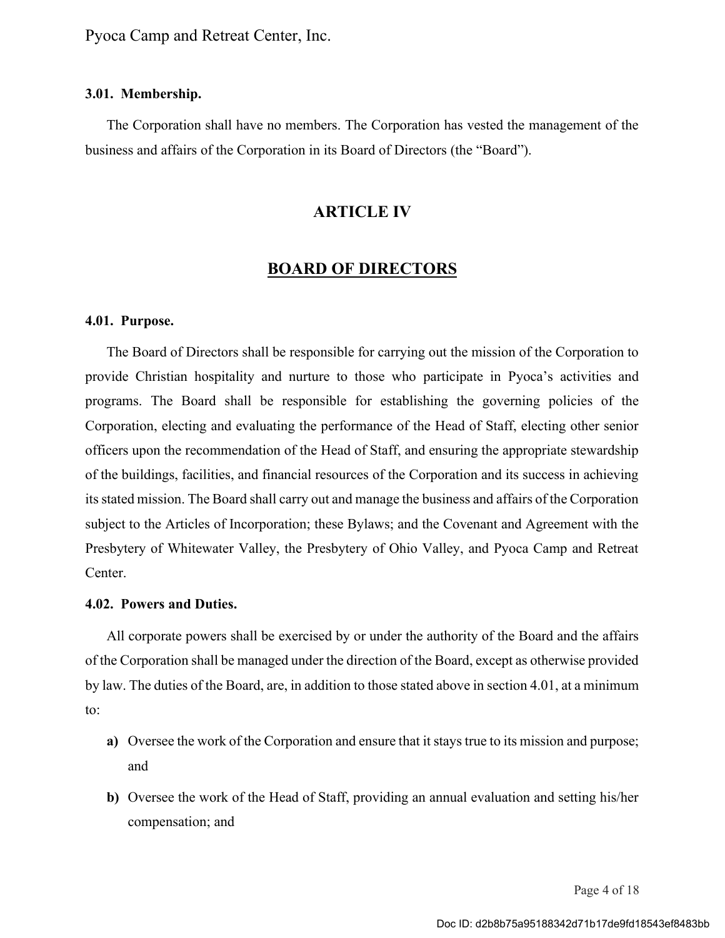#### **3.01. Membership.**

The Corporation shall have no members. The Corporation has vested the management of the business and affairs of the Corporation in its Board of Directors (the "Board").

## **ARTICLE IV**

## **BOARD OF DIRECTORS**

#### **4.01. Purpose.**

The Board of Directors shall be responsible for carrying out the mission of the Corporation to provide Christian hospitality and nurture to those who participate in Pyoca's activities and programs. The Board shall be responsible for establishing the governing policies of the Corporation, electing and evaluating the performance of the Head of Staff, electing other senior officers upon the recommendation of the Head of Staff, and ensuring the appropriate stewardship of the buildings, facilities, and financial resources of the Corporation and its success in achieving its stated mission. The Board shall carry out and manage the business and affairs of the Corporation subject to the Articles of Incorporation; these Bylaws; and the Covenant and Agreement with the Presbytery of Whitewater Valley, the Presbytery of Ohio Valley, and Pyoca Camp and Retreat Center.

## **4.02. Powers and Duties.**

All corporate powers shall be exercised by or under the authority of the Board and the affairs of the Corporation shall be managed under the direction of the Board, except as otherwise provided by law. The duties of the Board, are, in addition to those stated above in section 4.01, at a minimum to:

- **a)** Oversee the work of the Corporation and ensure that it stays true to its mission and purpose; and
- **b)** Oversee the work of the Head of Staff, providing an annual evaluation and setting his/her compensation; and

Page 4 of 18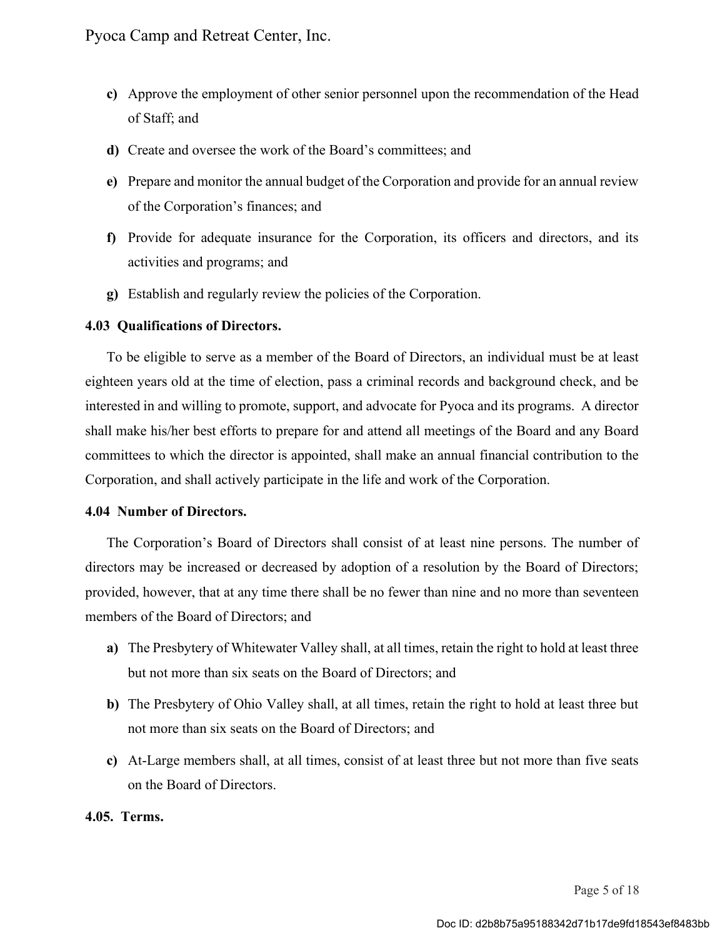- **c)** Approve the employment of other senior personnel upon the recommendation of the Head of Staff; and
- **d)** Create and oversee the work of the Board's committees; and
- **e)** Prepare and monitor the annual budget of the Corporation and provide for an annual review of the Corporation's finances; and
- **f)** Provide for adequate insurance for the Corporation, its officers and directors, and its activities and programs; and
- **g)** Establish and regularly review the policies of the Corporation.

#### **4.03 Qualifications of Directors.**

To be eligible to serve as a member of the Board of Directors, an individual must be at least eighteen years old at the time of election, pass a criminal records and background check, and be interested in and willing to promote, support, and advocate for Pyoca and its programs. A director shall make his/her best efforts to prepare for and attend all meetings of the Board and any Board committees to which the director is appointed, shall make an annual financial contribution to the Corporation, and shall actively participate in the life and work of the Corporation.

#### **4.04 Number of Directors.**

The Corporation's Board of Directors shall consist of at least nine persons. The number of directors may be increased or decreased by adoption of a resolution by the Board of Directors; provided, however, that at any time there shall be no fewer than nine and no more than seventeen members of the Board of Directors; and

- **a)** The Presbytery of Whitewater Valley shall, at all times, retain the right to hold at least three but not more than six seats on the Board of Directors; and
- **b)** The Presbytery of Ohio Valley shall, at all times, retain the right to hold at least three but not more than six seats on the Board of Directors; and
- **c)** At-Large members shall, at all times, consist of at least three but not more than five seats on the Board of Directors.

#### **4.05. Terms.**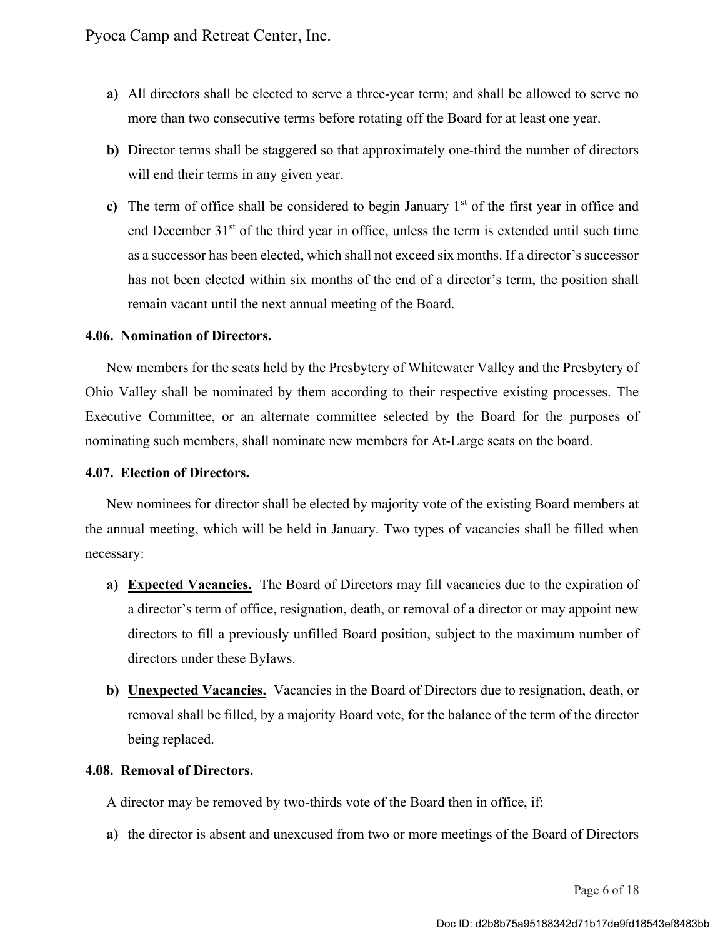- **a)** All directors shall be elected to serve a three-year term; and shall be allowed to serve no more than two consecutive terms before rotating off the Board for at least one year.
- **b)** Director terms shall be staggered so that approximately one-third the number of directors will end their terms in any given year.
- **c)** The term of office shall be considered to begin January  $1<sup>st</sup>$  of the first year in office and end December  $31<sup>st</sup>$  of the third year in office, unless the term is extended until such time as a successor has been elected, which shall not exceed six months. If a director's successor has not been elected within six months of the end of a director's term, the position shall remain vacant until the next annual meeting of the Board.

#### **4.06. Nomination of Directors.**

New members for the seats held by the Presbytery of Whitewater Valley and the Presbytery of Ohio Valley shall be nominated by them according to their respective existing processes. The Executive Committee, or an alternate committee selected by the Board for the purposes of nominating such members, shall nominate new members for At-Large seats on the board.

#### **4.07. Election of Directors.**

New nominees for director shall be elected by majority vote of the existing Board members at the annual meeting, which will be held in January. Two types of vacancies shall be filled when necessary:

- **a) Expected Vacancies.** The Board of Directors may fill vacancies due to the expiration of a director's term of office, resignation, death, or removal of a director or may appoint new directors to fill a previously unfilled Board position, subject to the maximum number of directors under these Bylaws.
- **b) Unexpected Vacancies.** Vacancies in the Board of Directors due to resignation, death, or removal shall be filled, by a majority Board vote, for the balance of the term of the director being replaced.

#### **4.08. Removal of Directors.**

A director may be removed by two-thirds vote of the Board then in office, if:

**a)** the director is absent and unexcused from two or more meetings of the Board of Directors

Page 6 of 18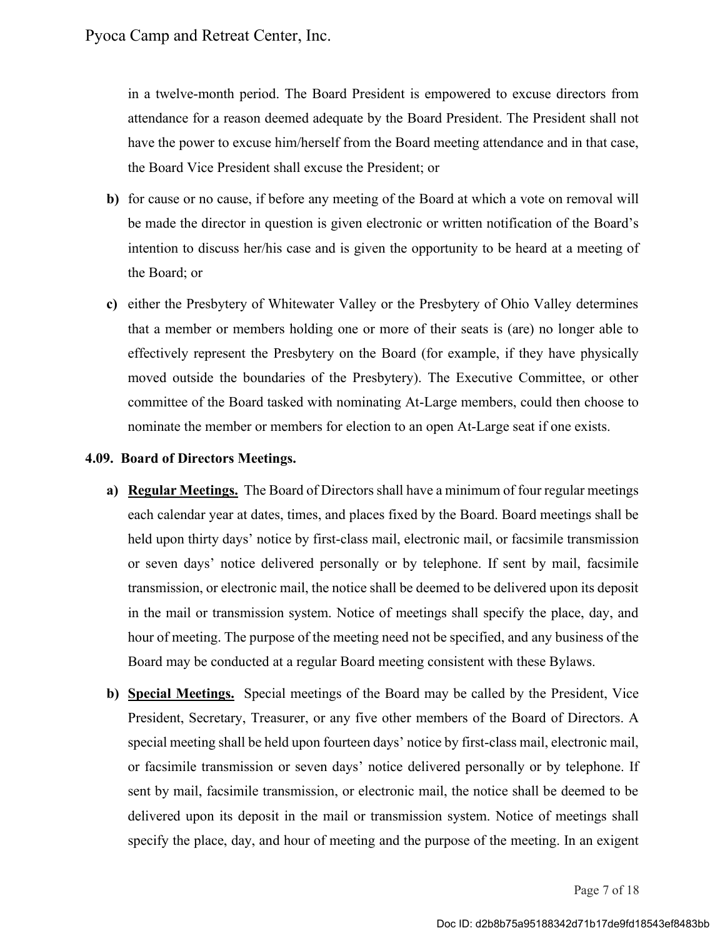in a twelve-month period. The Board President is empowered to excuse directors from attendance for a reason deemed adequate by the Board President. The President shall not have the power to excuse him/herself from the Board meeting attendance and in that case, the Board Vice President shall excuse the President; or

- **b)** for cause or no cause, if before any meeting of the Board at which a vote on removal will be made the director in question is given electronic or written notification of the Board's intention to discuss her/his case and is given the opportunity to be heard at a meeting of the Board; or
- **c)** either the Presbytery of Whitewater Valley or the Presbytery of Ohio Valley determines that a member or members holding one or more of their seats is (are) no longer able to effectively represent the Presbytery on the Board (for example, if they have physically moved outside the boundaries of the Presbytery). The Executive Committee, or other committee of the Board tasked with nominating At-Large members, could then choose to nominate the member or members for election to an open At-Large seat if one exists.

## **4.09. Board of Directors Meetings.**

- **a) Regular Meetings.** The Board of Directors shall have a minimum of four regular meetings each calendar year at dates, times, and places fixed by the Board. Board meetings shall be held upon thirty days' notice by first-class mail, electronic mail, or facsimile transmission or seven days' notice delivered personally or by telephone. If sent by mail, facsimile transmission, or electronic mail, the notice shall be deemed to be delivered upon its deposit in the mail or transmission system. Notice of meetings shall specify the place, day, and hour of meeting. The purpose of the meeting need not be specified, and any business of the Board may be conducted at a regular Board meeting consistent with these Bylaws.
- **b) Special Meetings.** Special meetings of the Board may be called by the President, Vice President, Secretary, Treasurer, or any five other members of the Board of Directors. A special meeting shall be held upon fourteen days' notice by first-class mail, electronic mail, or facsimile transmission or seven days' notice delivered personally or by telephone. If sent by mail, facsimile transmission, or electronic mail, the notice shall be deemed to be delivered upon its deposit in the mail or transmission system. Notice of meetings shall specify the place, day, and hour of meeting and the purpose of the meeting. In an exigent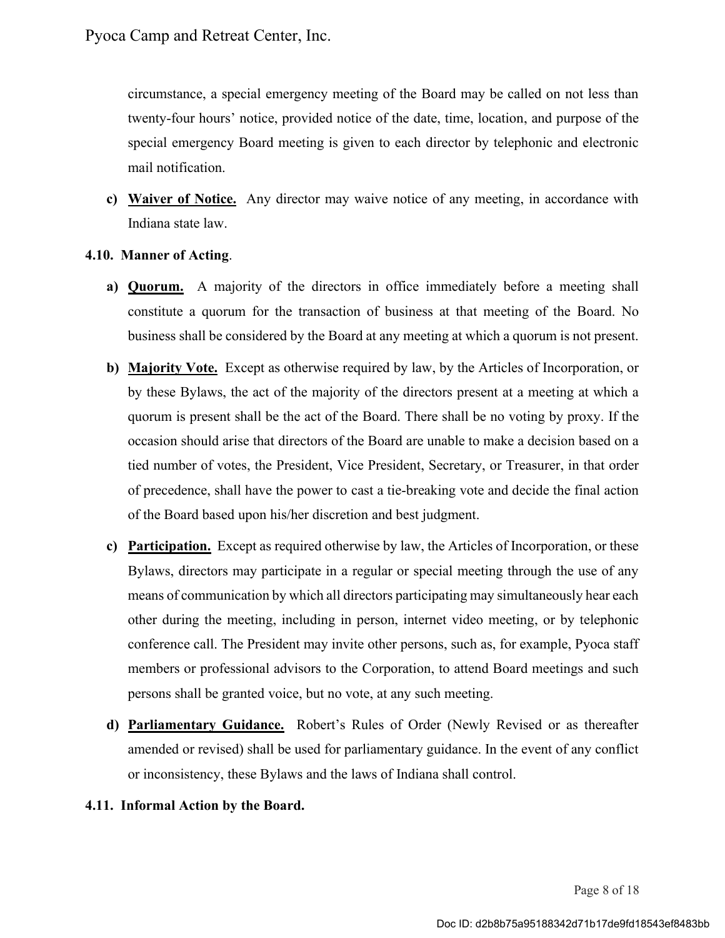circumstance, a special emergency meeting of the Board may be called on not less than twenty-four hours' notice, provided notice of the date, time, location, and purpose of the special emergency Board meeting is given to each director by telephonic and electronic mail notification.

**c) Waiver of Notice.** Any director may waive notice of any meeting, in accordance with Indiana state law.

## **4.10. Manner of Acting**.

- **a) Quorum.** A majority of the directors in office immediately before a meeting shall constitute a quorum for the transaction of business at that meeting of the Board. No business shall be considered by the Board at any meeting at which a quorum is not present.
- **b) Majority Vote.** Except as otherwise required by law, by the Articles of Incorporation, or by these Bylaws, the act of the majority of the directors present at a meeting at which a quorum is present shall be the act of the Board. There shall be no voting by proxy. If the occasion should arise that directors of the Board are unable to make a decision based on a tied number of votes, the President, Vice President, Secretary, or Treasurer, in that order of precedence, shall have the power to cast a tie-breaking vote and decide the final action of the Board based upon his/her discretion and best judgment.
- **c) Participation.** Except as required otherwise by law, the Articles of Incorporation, or these Bylaws, directors may participate in a regular or special meeting through the use of any means of communication by which all directors participating may simultaneously hear each other during the meeting, including in person, internet video meeting, or by telephonic conference call. The President may invite other persons, such as, for example, Pyoca staff members or professional advisors to the Corporation, to attend Board meetings and such persons shall be granted voice, but no vote, at any such meeting.
- **d) Parliamentary Guidance.** Robert's Rules of Order (Newly Revised or as thereafter amended or revised) shall be used for parliamentary guidance. In the event of any conflict or inconsistency, these Bylaws and the laws of Indiana shall control.

## **4.11. Informal Action by the Board.**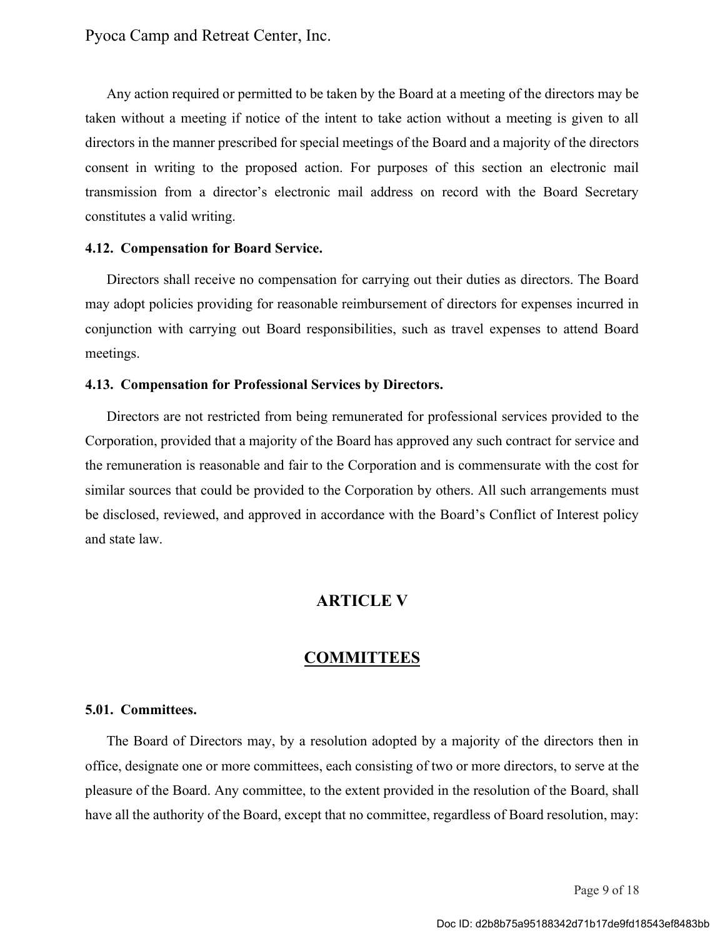Any action required or permitted to be taken by the Board at a meeting of the directors may be taken without a meeting if notice of the intent to take action without a meeting is given to all directors in the manner prescribed for special meetings of the Board and a majority of the directors consent in writing to the proposed action. For purposes of this section an electronic mail transmission from a director's electronic mail address on record with the Board Secretary constitutes a valid writing.

#### **4.12. Compensation for Board Service.**

Directors shall receive no compensation for carrying out their duties as directors. The Board may adopt policies providing for reasonable reimbursement of directors for expenses incurred in conjunction with carrying out Board responsibilities, such as travel expenses to attend Board meetings.

#### **4.13. Compensation for Professional Services by Directors.**

Directors are not restricted from being remunerated for professional services provided to the Corporation, provided that a majority of the Board has approved any such contract for service and the remuneration is reasonable and fair to the Corporation and is commensurate with the cost for similar sources that could be provided to the Corporation by others. All such arrangements must be disclosed, reviewed, and approved in accordance with the Board's Conflict of Interest policy and state law.

## **ARTICLE V**

## **COMMITTEES**

#### **5.01. Committees.**

The Board of Directors may, by a resolution adopted by a majority of the directors then in office, designate one or more committees, each consisting of two or more directors, to serve at the pleasure of the Board. Any committee, to the extent provided in the resolution of the Board, shall have all the authority of the Board, except that no committee, regardless of Board resolution, may:

Page 9 of 18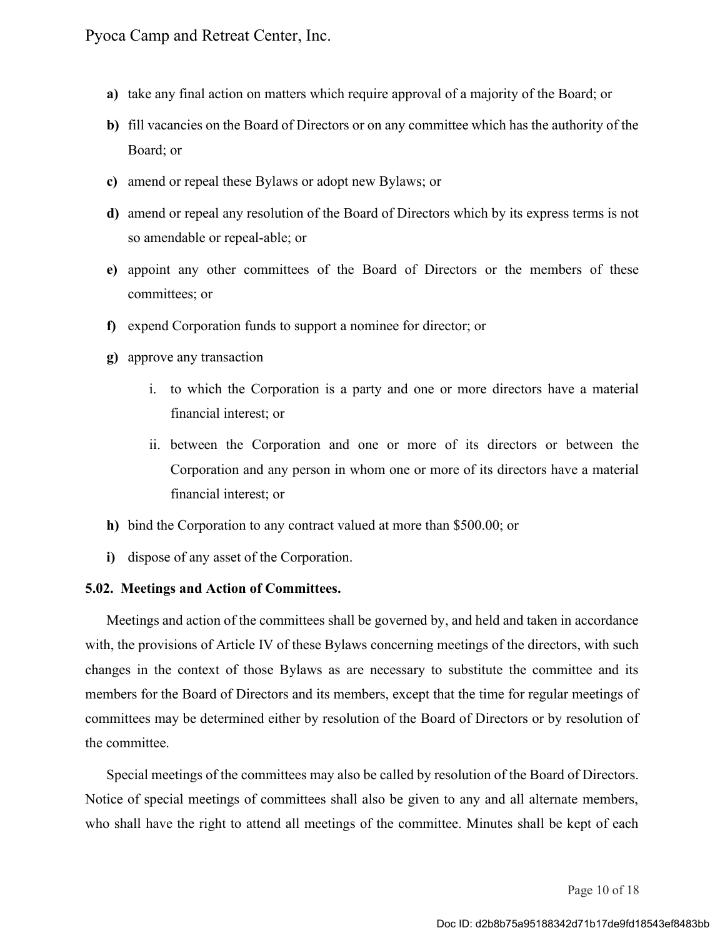- **a)** take any final action on matters which require approval of a majority of the Board; or
- **b)** fill vacancies on the Board of Directors or on any committee which has the authority of the Board; or
- **c)** amend or repeal these Bylaws or adopt new Bylaws; or
- **d)** amend or repeal any resolution of the Board of Directors which by its express terms is not so amendable or repeal-able; or
- **e)** appoint any other committees of the Board of Directors or the members of these committees; or
- **f)** expend Corporation funds to support a nominee for director; or
- **g)** approve any transaction
	- i. to which the Corporation is a party and one or more directors have a material financial interest; or
	- ii. between the Corporation and one or more of its directors or between the Corporation and any person in whom one or more of its directors have a material financial interest; or
- **h)** bind the Corporation to any contract valued at more than \$500.00; or
- **i)** dispose of any asset of the Corporation.

#### **5.02. Meetings and Action of Committees.**

Meetings and action of the committees shall be governed by, and held and taken in accordance with, the provisions of Article IV of these Bylaws concerning meetings of the directors, with such changes in the context of those Bylaws as are necessary to substitute the committee and its members for the Board of Directors and its members, except that the time for regular meetings of committees may be determined either by resolution of the Board of Directors or by resolution of the committee.

Special meetings of the committees may also be called by resolution of the Board of Directors. Notice of special meetings of committees shall also be given to any and all alternate members, who shall have the right to attend all meetings of the committee. Minutes shall be kept of each

Page 10 of 18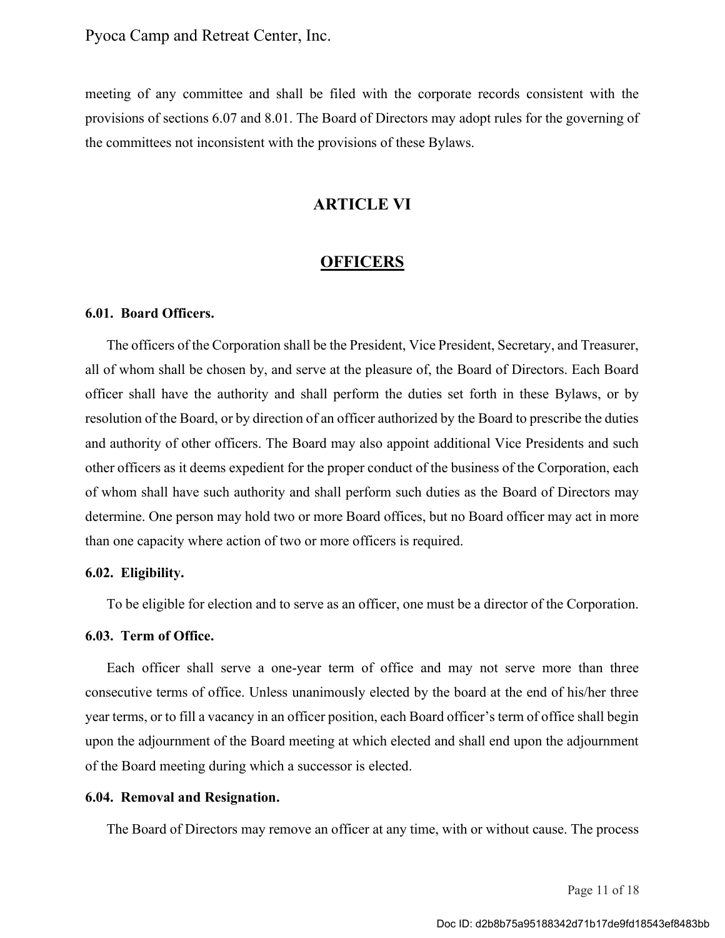meeting of any committee and shall be filed with the corporate records consistent with the provisions of sections 6.07 and 8.01. The Board of Directors may adopt rules for the governing of the committees not inconsistent with the provisions of these Bylaws.

## **ARTICLE VI**

## **OFFICERS**

#### **6.01. Board Officers.**

The officers of the Corporation shall be the President, Vice President, Secretary, and Treasurer, all of whom shall be chosen by, and serve at the pleasure of, the Board of Directors. Each Board officer shall have the authority and shall perform the duties set forth in these Bylaws, or by resolution of the Board, or by direction of an officer authorized by the Board to prescribe the duties and authority of other officers. The Board may also appoint additional Vice Presidents and such other officers as it deems expedient for the proper conduct of the business of the Corporation, each of whom shall have such authority and shall perform such duties as the Board of Directors may determine. One person may hold two or more Board offices, but no Board officer may act in more than one capacity where action of two or more officers is required.

#### **6.02. Eligibility.**

To be eligible for election and to serve as an officer, one must be a director of the Corporation.

#### **6.03. Term of Office.**

Each officer shall serve a one-year term of office and may not serve more than three consecutive terms of office. Unless unanimously elected by the board at the end of his/her three year terms, or to fill a vacancy in an officer position, each Board officer's term of office shall begin upon the adjournment of the Board meeting at which elected and shall end upon the adjournment of the Board meeting during which a successor is elected.

#### **6.04. Removal and Resignation.**

The Board of Directors may remove an officer at any time, with or without cause. The process

Page 11 of 18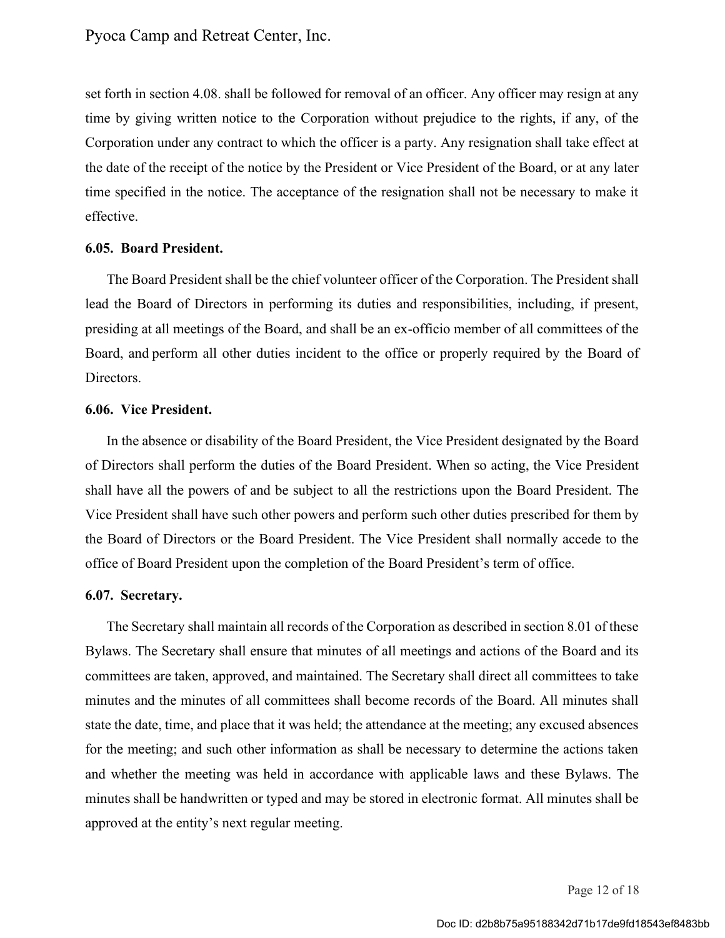set forth in section 4.08. shall be followed for removal of an officer. Any officer may resign at any time by giving written notice to the Corporation without prejudice to the rights, if any, of the Corporation under any contract to which the officer is a party. Any resignation shall take effect at the date of the receipt of the notice by the President or Vice President of the Board, or at any later time specified in the notice. The acceptance of the resignation shall not be necessary to make it effective.

#### **6.05. Board President.**

The Board President shall be the chief volunteer officer of the Corporation. The President shall lead the Board of Directors in performing its duties and responsibilities, including, if present, presiding at all meetings of the Board, and shall be an ex-officio member of all committees of the Board, and perform all other duties incident to the office or properly required by the Board of Directors.

#### **6.06. Vice President.**

In the absence or disability of the Board President, the Vice President designated by the Board of Directors shall perform the duties of the Board President. When so acting, the Vice President shall have all the powers of and be subject to all the restrictions upon the Board President. The Vice President shall have such other powers and perform such other duties prescribed for them by the Board of Directors or the Board President. The Vice President shall normally accede to the office of Board President upon the completion of the Board President's term of office.

#### **6.07. Secretary.**

The Secretary shall maintain all records of the Corporation as described in section 8.01 of these Bylaws. The Secretary shall ensure that minutes of all meetings and actions of the Board and its committees are taken, approved, and maintained. The Secretary shall direct all committees to take minutes and the minutes of all committees shall become records of the Board. All minutes shall state the date, time, and place that it was held; the attendance at the meeting; any excused absences for the meeting; and such other information as shall be necessary to determine the actions taken and whether the meeting was held in accordance with applicable laws and these Bylaws. The minutes shall be handwritten or typed and may be stored in electronic format. All minutes shall be approved at the entity's next regular meeting.

Page 12 of 18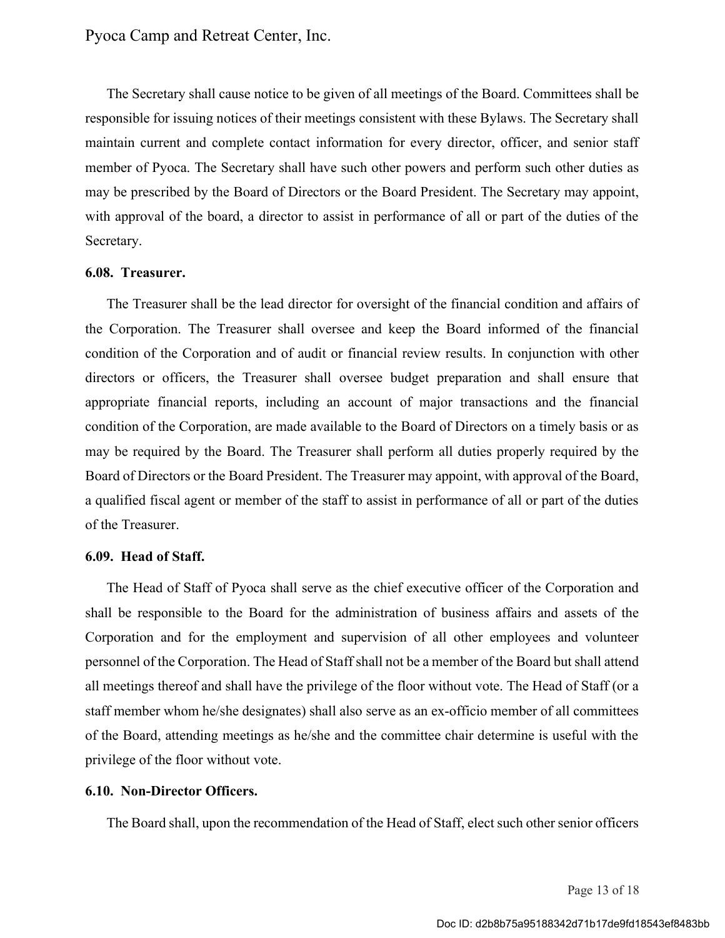The Secretary shall cause notice to be given of all meetings of the Board. Committees shall be responsible for issuing notices of their meetings consistent with these Bylaws. The Secretary shall maintain current and complete contact information for every director, officer, and senior staff member of Pyoca. The Secretary shall have such other powers and perform such other duties as may be prescribed by the Board of Directors or the Board President. The Secretary may appoint, with approval of the board, a director to assist in performance of all or part of the duties of the Secretary.

#### **6.08. Treasurer.**

The Treasurer shall be the lead director for oversight of the financial condition and affairs of the Corporation. The Treasurer shall oversee and keep the Board informed of the financial condition of the Corporation and of audit or financial review results. In conjunction with other directors or officers, the Treasurer shall oversee budget preparation and shall ensure that appropriate financial reports, including an account of major transactions and the financial condition of the Corporation, are made available to the Board of Directors on a timely basis or as may be required by the Board. The Treasurer shall perform all duties properly required by the Board of Directors or the Board President. The Treasurer may appoint, with approval of the Board, a qualified fiscal agent or member of the staff to assist in performance of all or part of the duties of the Treasurer.

#### **6.09. Head of Staff.**

The Head of Staff of Pyoca shall serve as the chief executive officer of the Corporation and shall be responsible to the Board for the administration of business affairs and assets of the Corporation and for the employment and supervision of all other employees and volunteer personnel of the Corporation. The Head of Staff shall not be a member of the Board but shall attend all meetings thereof and shall have the privilege of the floor without vote. The Head of Staff (or a staff member whom he/she designates) shall also serve as an ex-officio member of all committees of the Board, attending meetings as he/she and the committee chair determine is useful with the privilege of the floor without vote.

#### **6.10. Non-Director Officers.**

The Board shall, upon the recommendation of the Head of Staff, elect such other senior officers

Page 13 of 18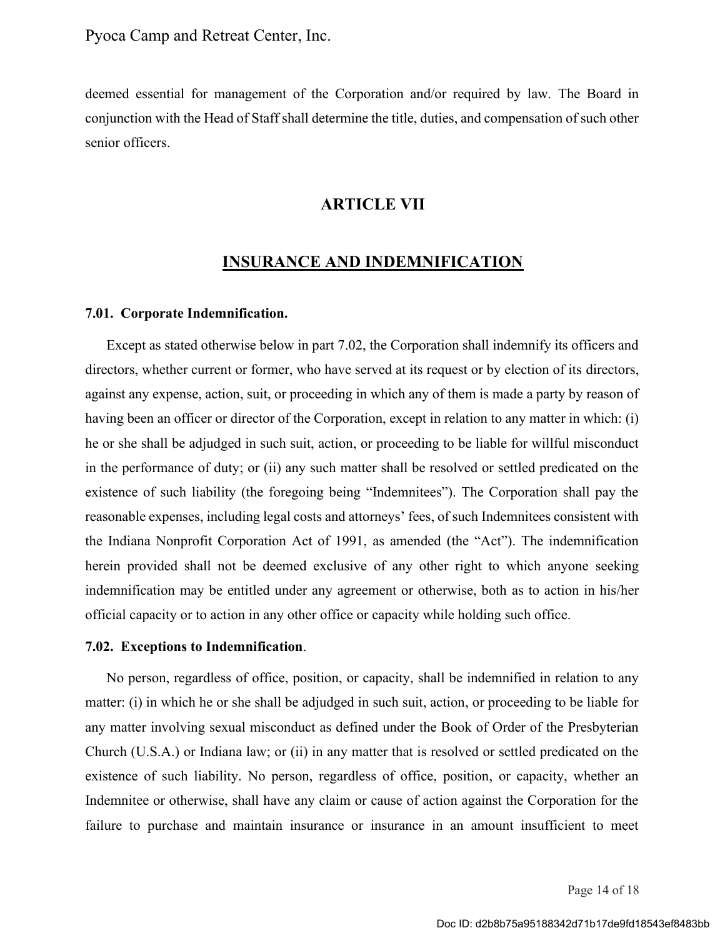deemed essential for management of the Corporation and/or required by law. The Board in conjunction with the Head of Staff shall determine the title, duties, and compensation of such other senior officers.

## **ARTICLE VII**

## **INSURANCE AND INDEMNIFICATION**

#### **7.01. Corporate Indemnification.**

Except as stated otherwise below in part 7.02, the Corporation shall indemnify its officers and directors, whether current or former, who have served at its request or by election of its directors, against any expense, action, suit, or proceeding in which any of them is made a party by reason of having been an officer or director of the Corporation, except in relation to any matter in which: (i) he or she shall be adjudged in such suit, action, or proceeding to be liable for willful misconduct in the performance of duty; or (ii) any such matter shall be resolved or settled predicated on the existence of such liability (the foregoing being "Indemnitees"). The Corporation shall pay the reasonable expenses, including legal costs and attorneys' fees, of such Indemnitees consistent with the Indiana Nonprofit Corporation Act of 1991, as amended (the "Act"). The indemnification herein provided shall not be deemed exclusive of any other right to which anyone seeking indemnification may be entitled under any agreement or otherwise, both as to action in his/her official capacity or to action in any other office or capacity while holding such office.

#### **7.02. Exceptions to Indemnification**.

No person, regardless of office, position, or capacity, shall be indemnified in relation to any matter: (i) in which he or she shall be adjudged in such suit, action, or proceeding to be liable for any matter involving sexual misconduct as defined under the Book of Order of the Presbyterian Church (U.S.A.) or Indiana law; or (ii) in any matter that is resolved or settled predicated on the existence of such liability. No person, regardless of office, position, or capacity, whether an Indemnitee or otherwise, shall have any claim or cause of action against the Corporation for the failure to purchase and maintain insurance or insurance in an amount insufficient to meet

Page 14 of 18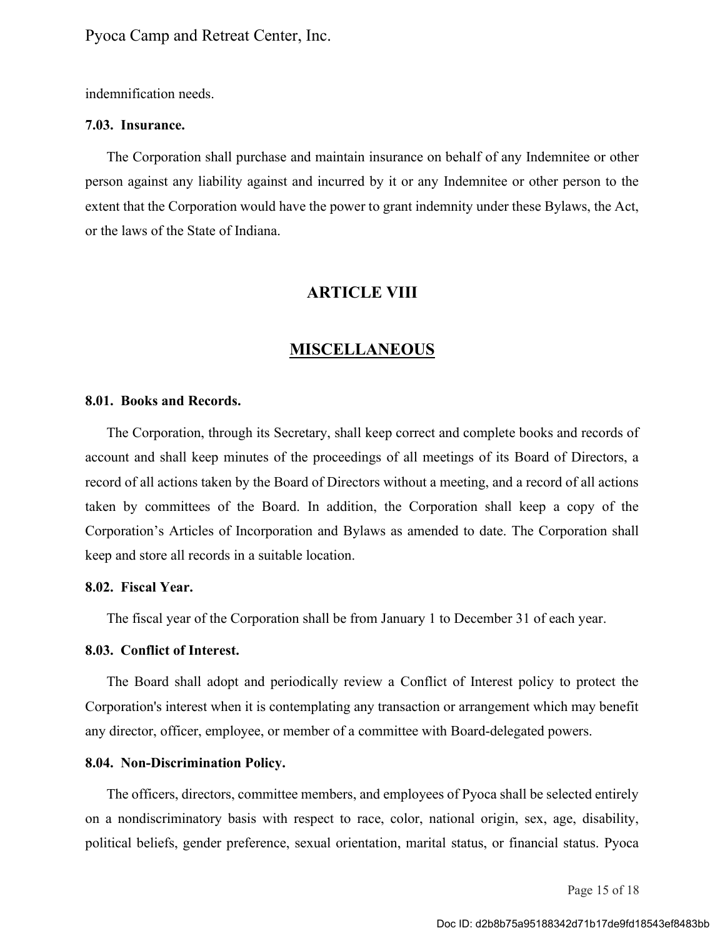indemnification needs.

#### **7.03. Insurance.**

The Corporation shall purchase and maintain insurance on behalf of any Indemnitee or other person against any liability against and incurred by it or any Indemnitee or other person to the extent that the Corporation would have the power to grant indemnity under these Bylaws, the Act, or the laws of the State of Indiana.

## **ARTICLE VIII**

## **MISCELLANEOUS**

#### **8.01. Books and Records.**

The Corporation, through its Secretary, shall keep correct and complete books and records of account and shall keep minutes of the proceedings of all meetings of its Board of Directors, a record of all actions taken by the Board of Directors without a meeting, and a record of all actions taken by committees of the Board. In addition, the Corporation shall keep a copy of the Corporation's Articles of Incorporation and Bylaws as amended to date. The Corporation shall keep and store all records in a suitable location.

#### **8.02. Fiscal Year.**

The fiscal year of the Corporation shall be from January 1 to December 31 of each year.

#### **8.03. Conflict of Interest.**

The Board shall adopt and periodically review a Conflict of Interest policy to protect the Corporation's interest when it is contemplating any transaction or arrangement which may benefit any director, officer, employee, or member of a committee with Board-delegated powers.

#### **8.04. Non-Discrimination Policy.**

The officers, directors, committee members, and employees of Pyoca shall be selected entirely on a nondiscriminatory basis with respect to race, color, national origin, sex, age, disability, political beliefs, gender preference, sexual orientation, marital status, or financial status. Pyoca

Page 15 of 18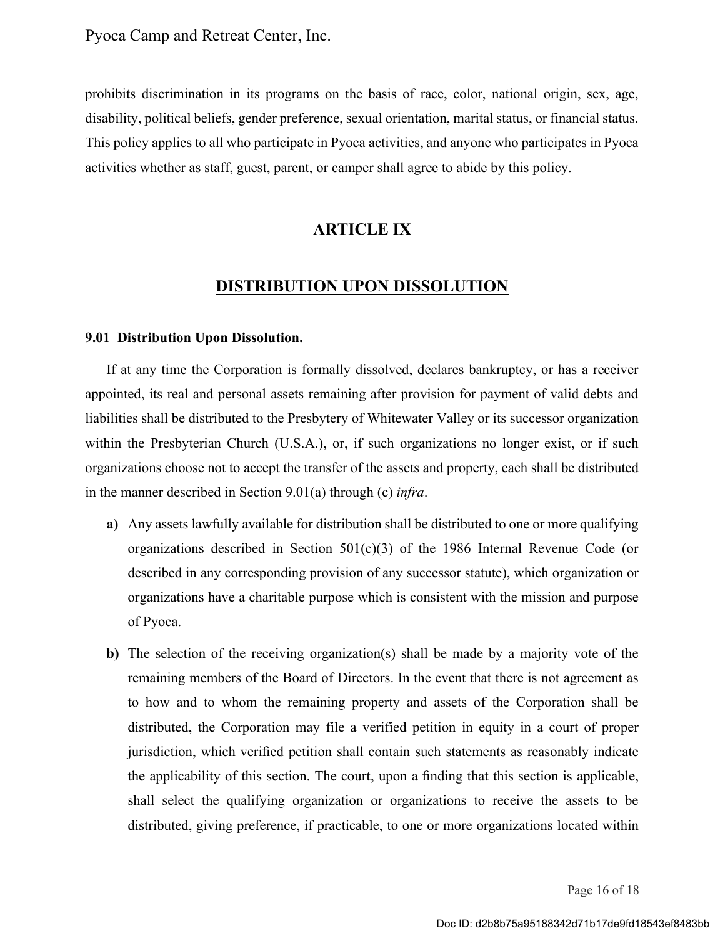prohibits discrimination in its programs on the basis of race, color, national origin, sex, age, disability, political beliefs, gender preference, sexual orientation, marital status, or financial status. This policy applies to all who participate in Pyoca activities, and anyone who participates in Pyoca activities whether as staff, guest, parent, or camper shall agree to abide by this policy.

## **ARTICLE IX**

## **DISTRIBUTION UPON DISSOLUTION**

#### **9.01 Distribution Upon Dissolution.**

If at any time the Corporation is formally dissolved, declares bankruptcy, or has a receiver appointed, its real and personal assets remaining after provision for payment of valid debts and liabilities shall be distributed to the Presbytery of Whitewater Valley or its successor organization within the Presbyterian Church (U.S.A.), or, if such organizations no longer exist, or if such organizations choose not to accept the transfer of the assets and property, each shall be distributed in the manner described in Section 9.01(a) through (c) *infra*.

- **a)** Any assets lawfully available for distribution shall be distributed to one or more qualifying organizations described in Section 501(c)(3) of the 1986 Internal Revenue Code (or described in any corresponding provision of any successor statute), which organization or organizations have a charitable purpose which is consistent with the mission and purpose of Pyoca.
- **b)** The selection of the receiving organization(s) shall be made by a majority vote of the remaining members of the Board of Directors. In the event that there is not agreement as to how and to whom the remaining property and assets of the Corporation shall be distributed, the Corporation may file a verified petition in equity in a court of proper jurisdiction, which verified petition shall contain such statements as reasonably indicate the applicability of this section. The court, upon a finding that this section is applicable, shall select the qualifying organization or organizations to receive the assets to be distributed, giving preference, if practicable, to one or more organizations located within

Page 16 of 18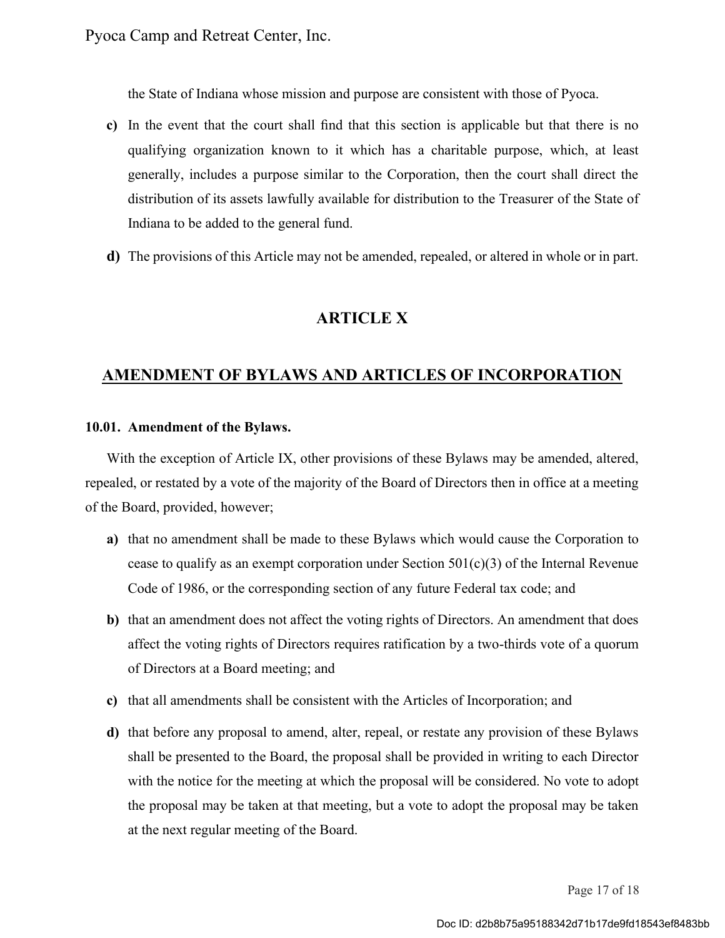the State of Indiana whose mission and purpose are consistent with those of Pyoca.

- **c)** In the event that the court shall find that this section is applicable but that there is no qualifying organization known to it which has a charitable purpose, which, at least generally, includes a purpose similar to the Corporation, then the court shall direct the distribution of its assets lawfully available for distribution to the Treasurer of the State of Indiana to be added to the general fund.
- **d)** The provisions of this Article may not be amended, repealed, or altered in whole or in part.

# **ARTICLE X**

## **AMENDMENT OF BYLAWS AND ARTICLES OF INCORPORATION**

#### **10.01. Amendment of the Bylaws.**

With the exception of Article IX, other provisions of these Bylaws may be amended, altered, repealed, or restated by a vote of the majority of the Board of Directors then in office at a meeting of the Board, provided, however;

- **a)** that no amendment shall be made to these Bylaws which would cause the Corporation to cease to qualify as an exempt corporation under Section  $501(c)(3)$  of the Internal Revenue Code of 1986, or the corresponding section of any future Federal tax code; and
- **b)** that an amendment does not affect the voting rights of Directors. An amendment that does affect the voting rights of Directors requires ratification by a two-thirds vote of a quorum of Directors at a Board meeting; and
- **c)** that all amendments shall be consistent with the Articles of Incorporation; and
- **d)** that before any proposal to amend, alter, repeal, or restate any provision of these Bylaws shall be presented to the Board, the proposal shall be provided in writing to each Director with the notice for the meeting at which the proposal will be considered. No vote to adopt the proposal may be taken at that meeting, but a vote to adopt the proposal may be taken at the next regular meeting of the Board.

Page 17 of 18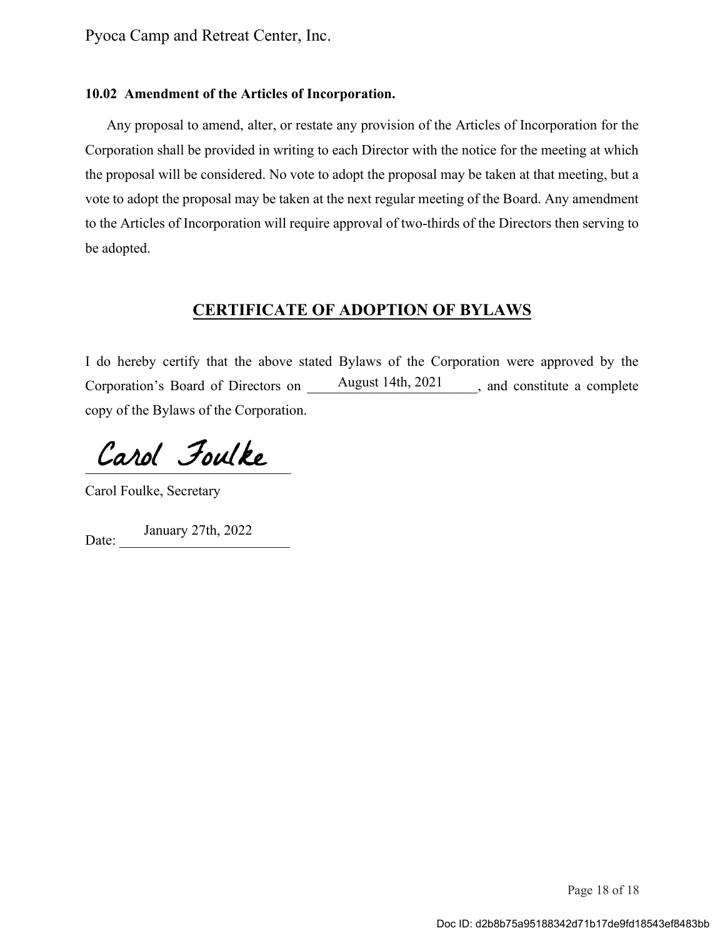## **10.02 Amendment of the Articles of Incorporation.**

Any proposal to amend, alter, or restate any provision of the Articles of Incorporation for the Corporation shall be provided in writing to each Director with the notice for the meeting at which the proposal will be considered. No vote to adopt the proposal may be taken at that meeting, but a vote to adopt the proposal may be taken at the next regular meeting of the Board. Any amendment to the Articles of Incorporation will require approval of two-thirds of the Directors then serving to be adopted.

# **CERTIFICATE OF ADOPTION OF BYLAWS**

I do hereby certify that the above stated Bylaws of the Corporation were approved by the Corporation's Board of Directors on  $\frac{\text{August 14th, 2021}}{\text{August 14th, 2021}}$ , and constitute a complete copy of the Bylaws of the Corporation.

Carol Foulke

Carol Foulke, Secretary

Date: January 27th, 2022

Page 18 of 18